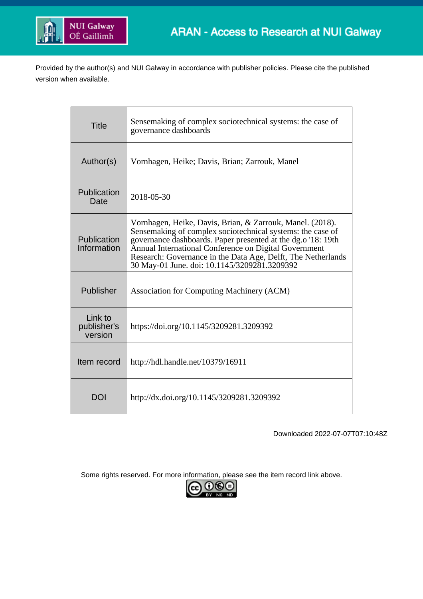

Provided by the author(s) and NUI Galway in accordance with publisher policies. Please cite the published version when available.

| <b>Title</b>                      | Sensemaking of complex sociotechnical systems: the case of<br>governance dashboards                                                                                                                                                                                                                                                                              |
|-----------------------------------|------------------------------------------------------------------------------------------------------------------------------------------------------------------------------------------------------------------------------------------------------------------------------------------------------------------------------------------------------------------|
| Author(s)                         | Vornhagen, Heike; Davis, Brian; Zarrouk, Manel                                                                                                                                                                                                                                                                                                                   |
| Publication<br>Date               | 2018-05-30                                                                                                                                                                                                                                                                                                                                                       |
| Publication<br>Information        | Vornhagen, Heike, Davis, Brian, & Zarrouk, Manel. (2018).<br>Sensemaking of complex sociotechnical systems: the case of<br>governance dashboards. Paper presented at the dg.o '18: 19th<br>Annual International Conference on Digital Government<br>Research: Governance in the Data Age, Delft, The Netherlands<br>30 May-01 June. doi: 10.1145/3209281.3209392 |
| Publisher                         | <b>Association for Computing Machinery (ACM)</b>                                                                                                                                                                                                                                                                                                                 |
| Link to<br>publisher's<br>version | https://doi.org/10.1145/3209281.3209392                                                                                                                                                                                                                                                                                                                          |
| Item record                       | http://hdl.handle.net/10379/16911                                                                                                                                                                                                                                                                                                                                |
| <b>DOI</b>                        | http://dx.doi.org/10.1145/3209281.3209392                                                                                                                                                                                                                                                                                                                        |

Downloaded 2022-07-07T07:10:48Z

Some rights reserved. For more information, please see the item record link above.

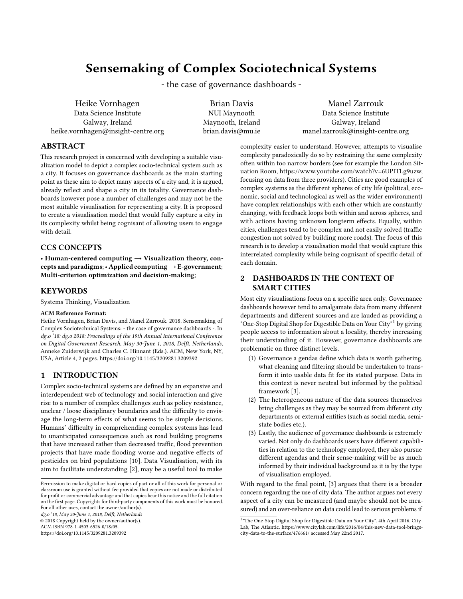# Sensemaking of Complex Sociotechnical Systems

- the case of governance dashboards -

Heike Vornhagen Data Science Institute Galway, Ireland heike.vornhagen@insight-centre.org

Brian Davis NUI Maynooth Maynooth, Ireland brian.davis@mu.ie

Manel Zarrouk Data Science Institute Galway, Ireland manel.zarrouk@insight-centre.org

#### ABSTRACT

This research project is concerned with developing a suitable visualization model to depict a complex socio-technical system such as a city. It focuses on governance dashboards as the main starting point as these aim to depict many aspects of a city and, it is argued, already reflect and shape a city in its totality. Governance dashboards however pose a number of challenges and may not be the most suitable visualisation for representing a city. It is proposed to create a visualisation model that would fully capture a city in its complexity whilst being cognisant of allowing users to engage with detail.

## CCS CONCEPTS

• Human-centered computing  $\rightarrow$  Visualization theory, concepts and paradigms;• Applied computing→E-government; Multi-criterion optimization and decision-making;

## KEYWORDS

Systems Thinking, Visualization

#### ACM Reference Format:

Heike Vornhagen, Brian Davis, and Manel Zarrouk. 2018. Sensemaking of Complex Sociotechnical Systems: - the case of governance dashboards -. In dg.o '18: dg.o 2018: Proceedings of the 19th Annual International Conference on Digital Government Research, May 30-June 1, 2018, Delft, Netherlands, Anneke Zuiderwijk and Charles C. Hinnant (Eds.). ACM, New York, NY, USA, Article 4, [2](#page-2-0) pages.<https://doi.org/10.1145/3209281.3209392>

## 1 INTRODUCTION

Complex socio-technical systems are defined by an expansive and interdependent web of technology and social interaction and give rise to a number of complex challenges such as policy resistance, unclear / loose disciplinary boundaries and the difficulty to envisage the long-term effects of what seems to be simple decisions. Humans' difficulty in comprehending complex systems has lead to unanticipated consequences such as road building programs that have increased rather than decreased traffic, flood prevention projects that have made flooding worse and negative effects of pesticides on bird populations [\[10\]](#page-2-1). Data Visualisation, with its aim to facilitate understanding [\[2\]](#page-2-2), may be a useful tool to make

dg.o '18, May 30-June 1, 2018, Delft, Netherlands

© 2018 Copyright held by the owner/author(s).

ACM ISBN 978-1-4503-6526-0/18/05.

<https://doi.org/10.1145/3209281.3209392>

complexity easier to understand. However, attempts to visualise complexity paradoxically do so by restraining the same complexity often within too narrow borders (see for example the London Situation Room, https://www.youtube.com/watch?v=6UPITLg9uzw, focusing on data from three providers). Cities are good examples of complex systems as the different spheres of city life (political, economic, social and technological as well as the wider environment) have complex relationships with each other which are constantly changing, with feedback loops both within and across spheres, and with actions having unknown longterm effects. Equally, within cities, challenges tend to be complex and not easily solved (traffic congestion not solved by building more roads). The focus of this research is to develop a visualisation model that would capture this interrelated complexity while being cognisant of specific detail of each domain.

#### 2 DASHBOARDS IN THE CONTEXT OF SMART CITIES

Most city visualisations focus on a specific area only. Governance dashboards however tend to amalgamate data from many different departments and different sources and are lauded as providing a "One-Stop Digital Shop for Digestible Data on Your City"<sup>[1](#page-1-0)</sup> by giving people access to information about a locality, thereby increasing their understanding of it. However, governance dashboards are problematic on three distinct levels.

- (1) Governance a gendas define which data is worth gathering, what cleaning and filtering should be undertaken to transform it into usable data fit for its stated purpose. Data in this context is never neutral but informed by the political framework [\[3\]](#page-2-3).
- (2) The heterogeneous nature of the data sources themselves bring challenges as they may be sourced from different city departments or external entities (such as social media, semistate bodies etc.).
- (3) Lastly, the audience of governance dashboards is extremely varied. Not only do dashboards users have different capabilities in relation to the technology employed, they also pursue different agendas and their sense-making will be as much informed by their individual background as it is by the type of visualisation employed.

With regard to the final point, [\[3\]](#page-2-3) argues that there is a broader concern regarding the use of city data. The author argues not every aspect of a city can be measured (and maybe should not be measured) and an over-reliance on data could lead to serious problems if

Permission to make digital or hard copies of part or all of this work for personal or classroom use is granted without fee provided that copies are not made or distributed for profit or commercial advantage and that copies bear this notice and the full citation on the first page. Copyrights for third-party components of this work must be honored. For all other uses, contact the owner/author(s).

<span id="page-1-0"></span><sup>&</sup>lt;sup>1</sup> "The One-Stop Digital Shop for Digestible Data on Your City". 4th April 2016. City-Lab, The Atlantic. https://www.citylab.com/life/2016/04/this-new-data-tool-bringscity-data-to-the-surface/476661/ accessed May 22nd 2017.